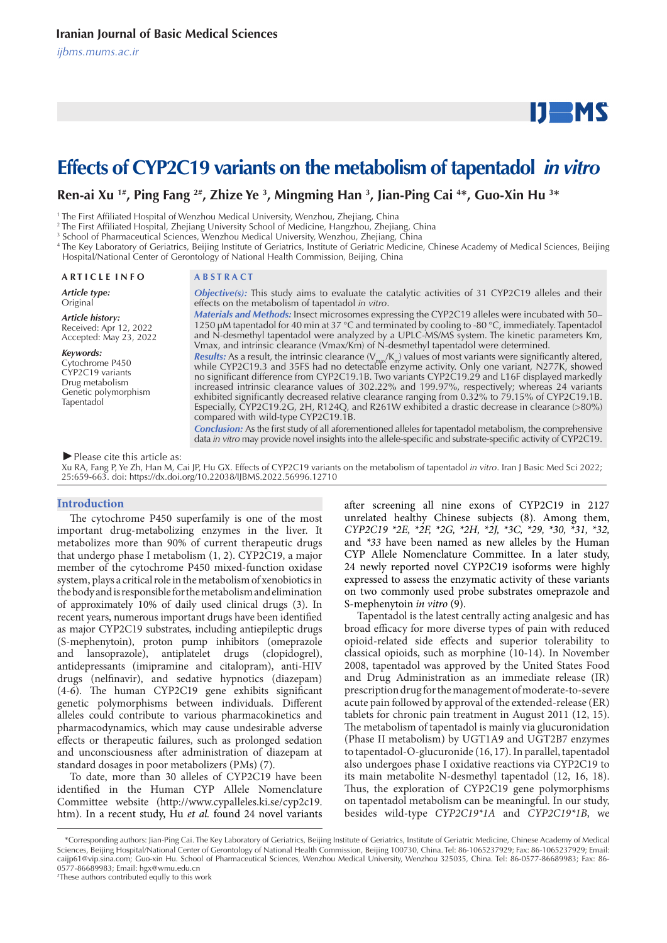*ijbms.mums.ac.ir*

# $IJ$  MS

## **Effects of CYP2C19 variants on the metabolism of tapentadol** *in vitro*

### **Ren-ai Xu <sup>1#</sup>, Ping Fang <sup>2#</sup>, Zhize Ye <sup>3</sup>, Mingming Han <sup>3</sup>, Jian-Ping Cai <sup>4\*</sup>, Guo-Xin Hu <sup>3\*</sup>**

1 The First Affiliated Hospital of Wenzhou Medical University, Wenzhou, Zhejiang, China

2 The First Affiliated Hospital, Zhejiang University School of Medicine, Hangzhou, Zhejiang, China

3 School of Pharmaceutical Sciences, Wenzhou Medical University, Wenzhou, Zhejiang, China

4 The Key Laboratory of Geriatrics, Beijing Institute of Geriatrics, Institute of Geriatric Medicine, Chinese Academy of Medical Sciences, Beijing Hospital/National Center of Gerontology of National Health Commission, Beijing, China

#### **A R T I C L E I N F O A B S T R A C T**

*Article type:* **Original** 

*Article history:* Received: Apr 12, 2022 Accepted: May 23, 2022

#### *Keywords:*

Cytochrome P450 CYP2C19 variants Drug metabolism Genetic polymorphism Tapentadol

*Objective(s):* This study aims to evaluate the catalytic activities of 31 CYP2C19 alleles and their effects on the metabolism of tapentadol *in vitro*.

*Materials and Methods:* Insect microsomes expressing the CYP2C19 alleles were incubated with 50– 1250 μM tapentadol for 40 min at 37 °C and terminated by cooling to -80 °C, immediately. Tapentadol and N-desmethyl tapentadol were analyzed by a UPLC-MS/MS system. The kinetic parameters Km, Vmax, and intrinsic clearance (Vmax/Km) of N-desmethyl tapentadol were determined. **Results:** As a result, the intrinsic clearance ( $V_{\text{max}}/K_m$ ) values of most variants were significantly altered, while CYP2C19.3 and 35FS had no detectable enzyme activity. Only one variant, N277K, showed no significant difference from CYP2C19.1B. Two variants CYP2C19.29 and L16F displayed markedly increased intrinsic clearance values of 302.22% and 199.97%, respectively; whereas 24 variants exhibited significantly decreased relative clearance ranging from 0.32% to 79.15% of CYP2C19.1B. Especially, CYP2C19.2G, 2H, R124Q, and R261W exhibited a drastic decrease in clearance (>80%) compared with wild-type CYP2C19.1B.

*Conclusion:* As the first study of all aforementioned alleles for tapentadol metabolism, the comprehensive data *in vitro* may provide novel insights into the allele-specific and substrate-specific activity of CYP2C19.

#### *►*Please cite this article as:

Xu RA, Fang P, Ye Zh, Han M, Cai JP, Hu GX. Effects of CYP2C19 variants on the metabolism of tapentadol *in vitro*. Iran J Basic Med Sci 2022; 25:659-663. doi: https://dx.doi.org/10.22038/IJBMS.2022.56996.12710

#### **Introduction**

The cytochrome P450 superfamily is one of the most important drug-metabolizing enzymes in the liver. It metabolizes more than 90% of current therapeutic drugs that undergo phase I metabolism (1, 2). CYP2C19, a major member of the cytochrome P450 mixed-function oxidase system, plays a critical role in the metabolism of xenobiotics in the body and is responsible for the metabolism and elimination of approximately 10% of daily used clinical drugs (3). In recent years, numerous important drugs have been identified as major CYP2C19 substrates, including antiepileptic drugs (S-mephenytoin), proton pump inhibitors (omeprazole and lansoprazole), antiplatelet drugs (clopidogrel), antidepressants (imipramine and citalopram), anti-HIV drugs (nelfinavir), and sedative hypnotics (diazepam) (4-6). The human CYP2C19 gene exhibits significant genetic polymorphisms between individuals. Different alleles could contribute to various pharmacokinetics and pharmacodynamics, which may cause undesirable adverse effects or therapeutic failures, such as prolonged sedation and unconsciousness after administration of diazepam at standard dosages in poor metabolizers (PMs) (7).

To date, more than 30 alleles of CYP2C19 have been identified in the Human CYP Allele Nomenclature Committee website (http://www.cypalleles.ki.se/cyp2c19. htm). In a recent study, Hu *et al.* found 24 novel variants

after screening all nine exons of CYP2C19 in 2127 unrelated healthy Chinese subjects (8). Among them, *CYP2C19 \*2E, \*2F, \*2G, \*2H, \*2J, \*3C, \*29, \*30, \*31, \*32,*  and *\*33* have been named as new alleles by the Human CYP Allele Nomenclature Committee. In a later study, 24 newly reported novel CYP2C19 isoforms were highly expressed to assess the enzymatic activity of these variants on two commonly used probe substrates omeprazole and S-mephenytoin *in vitro* (9).

Tapentadol is the latest centrally acting analgesic and has broad efficacy for more diverse types of pain with reduced opioid-related side effects and superior tolerability to classical opioids, such as morphine (10-14). In November 2008, tapentadol was approved by the United States Food and Drug Administration as an immediate release (IR) prescription drug for the management of moderate-to-severe acute pain followed by approval of the extended-release (ER) tablets for chronic pain treatment in August 2011 (12, 15). The metabolism of tapentadol is mainly via glucuronidation (Phase II metabolism) by UGT1A9 and UGT2B7 enzymes to tapentadol-O-glucuronide (16, 17). In parallel, tapentadol also undergoes phase I oxidative reactions via CYP2C19 to its main metabolite N-desmethyl tapentadol (12, 16, 18). Thus, the exploration of CYP2C19 gene polymorphisms on tapentadol metabolism can be meaningful. In our study, besides wild-type *CYP2C19\*1A* and *CYP2C19\*1B*, we

 <sup>\*</sup>Corresponding authors: Jian-Ping Cai. The Key Laboratory of Geriatrics, Beijing Institute of Geriatrics, Institute of Geriatric Medicine, Chinese Academy of Medical Sciences, Beijing Hospital/National Center of Gerontology of National Health Commission, Beijing 100730, China. Tel: 86-1065237929; Fax: 86-1065237929; Email: caijp61@vip.sina.com; Guo-xin Hu. School of Pharmaceutical Sciences, Wenzhou Medical University, Wenzhou 325035, China. Tel: 86-0577-86689983; Fax: 86- 0577-86689983; Email: hgx@wmu.edu.cn

<sup>#</sup> These authors contributed eqully to this work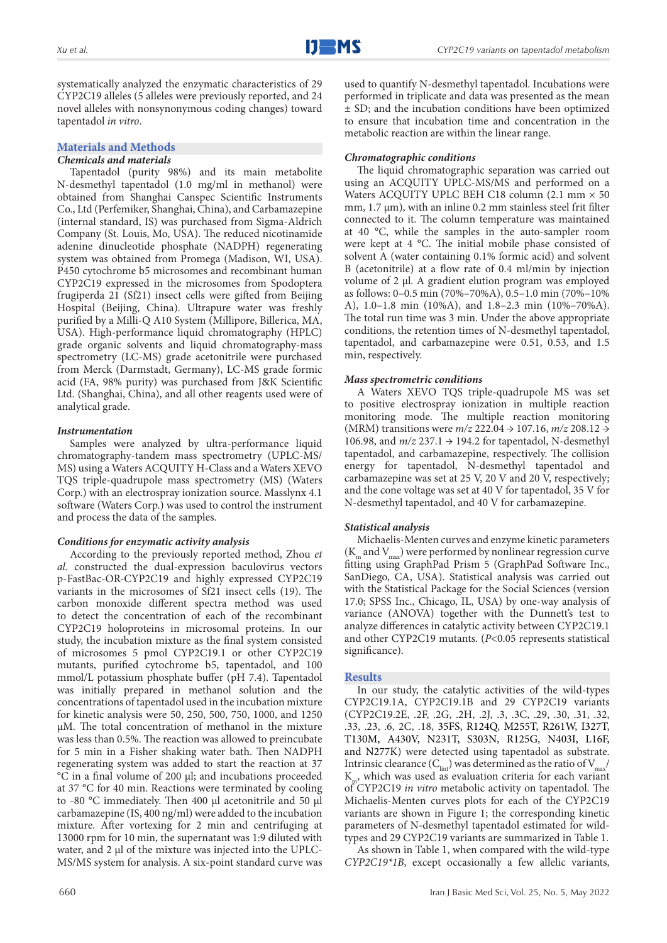systematically analyzed the enzymatic characteristics of 29 CYP2C19 alleles (5 alleles were previously reported, and 24 novel alleles with nonsynonymous coding changes) toward tapentadol *in vitro*.

#### **Materials and Methods**

#### *Chemicals and materials*

Tapentadol (purity 98%) and its main metabolite N-desmethyl tapentadol (1.0 mg/ml in methanol) were obtained from Shanghai Canspec Scientific Instruments Co., Ltd (Perfemiker, Shanghai, China), and Carbamazepine (internal standard, IS) was purchased from Sigma-Aldrich Company (St. Louis, Mo, USA). The reduced nicotinamide adenine dinucleotide phosphate (NADPH) regenerating system was obtained from Promega (Madison, WI, USA). P450 cytochrome b5 microsomes and recombinant human CYP2C19 expressed in the microsomes from Spodoptera frugiperda 21 (Sf21) insect cells were gifted from Beijing Hospital (Beijing, China). Ultrapure water was freshly purified by a Milli-Q A10 System (Millipore, Billerica, MA, USA). High-performance liquid chromatography (HPLC) grade organic solvents and liquid chromatography-mass spectrometry (LC-MS) grade acetonitrile were purchased from Merck (Darmstadt, Germany), LC-MS grade formic acid (FA, 98% purity) was purchased from J&K Scientific Ltd. (Shanghai, China), and all other reagents used were of analytical grade.

#### *Instrumentation*

Samples were analyzed by ultra-performance liquid chromatography-tandem mass spectrometry (UPLC-MS/ MS) using a Waters ACQUITY H-Class and a Waters XEVO TQS triple-quadrupole mass spectrometry (MS) (Waters Corp.) with an electrospray ionization source. Masslynx 4.1 software (Waters Corp.) was used to control the instrument and process the data of the samples.

#### *Conditions for enzymatic activity analysis*

According to the previously reported method, Zhou *et al.* constructed the dual-expression baculovirus vectors p-FastBac-OR-CYP2C19 and highly expressed CYP2C19 variants in the microsomes of Sf21 insect cells (19). The carbon monoxide different spectra method was used to detect the concentration of each of the recombinant CYP2C19 holoproteins in microsomal proteins. In our study, the incubation mixture as the final system consisted of microsomes 5 pmol CYP2C19.1 or other CYP2C19 mutants, purified cytochrome b5, tapentadol, and 100 mmol/L potassium phosphate buffer (pH 7.4). Tapentadol was initially prepared in methanol solution and the concentrations of tapentadol used in the incubation mixture for kinetic analysis were 50, 250, 500, 750, 1000, and 1250 μM. The total concentration of methanol in the mixture was less than 0.5%. The reaction was allowed to preincubate for 5 min in a Fisher shaking water bath. Then NADPH regenerating system was added to start the reaction at 37 °C in a final volume of 200 μl; and incubations proceeded at 37 °C for 40 min. Reactions were terminated by cooling to -80 °C immediately. Then 400 μl acetonitrile and 50 μl carbamazepine (IS, 400 ng/ml) were added to the incubation mixture. After vortexing for 2 min and centrifuging at 13000 rpm for 10 min, the supernatant was 1:9 diluted with water, and 2 μl of the mixture was injected into the UPLC-MS/MS system for analysis. A six-point standard curve was

performed in triplicate and data was presented as the mean ± SD; and the incubation conditions have been optimized to ensure that incubation time and concentration in the metabolic reaction are within the linear range.

used to quantify N-desmethyl tapentadol. Incubations were

#### *Chromatographic conditions*

The liquid chromatographic separation was carried out using an ACQUITY UPLC-MS/MS and performed on a Waters ACQUITY UPLC BEH C18 column (2.1 mm × 50 mm, 1.7  $\mu$ m), with an inline 0.2 mm stainless steel frit filter connected to it. The column temperature was maintained at 40 °C, while the samples in the auto-sampler room were kept at 4 °C. The initial mobile phase consisted of solvent A (water containing 0.1% formic acid) and solvent B (acetonitrile) at a flow rate of 0.4 ml/min by injection volume of 2 μl. A gradient elution program was employed as follows: 0–0.5 min (70%–70%A), 0.5–1.0 min (70%–10% A), 1.0–1.8 min (10%A), and 1.8–2.3 min (10%–70%A). The total run time was 3 min. Under the above appropriate conditions, the retention times of N-desmethyl tapentadol, tapentadol, and carbamazepine were 0.51, 0.53, and 1.5 min, respectively.

#### *Mass spectrometric conditions*

A Waters XEVO TQS triple-quadrupole MS was set to positive electrospray ionization in multiple reaction monitoring mode. The multiple reaction monitoring (MRM) transitions were *m/z* 222.04 → 107.16, *m/z* 208.12 → 106.98, and *m/z* 237.1 → 194.2 for tapentadol, N-desmethyl tapentadol, and carbamazepine, respectively. The collision energy for tapentadol, N-desmethyl tapentadol and carbamazepine was set at 25 V, 20 V and 20 V, respectively; and the cone voltage was set at 40 V for tapentadol, 35 V for N-desmethyl tapentadol, and 40 V for carbamazepine.

#### *Statistical analysis*

Michaelis-Menten curves and enzyme kinetic parameters  $(\rm K_{\rm m}$  and  $\rm V_{\rm max})$  were performed by nonlinear regression curve fitting using GraphPad Prism 5 (GraphPad Software Inc., SanDiego, CA, USA). Statistical analysis was carried out with the Statistical Package for the Social Sciences (version 17.0; SPSS Inc., Chicago, IL, USA) by one-way analysis of variance (ANOVA) together with the Dunnett's test to analyze differences in catalytic activity between CYP2C19.1 and other CYP2C19 mutants. (*P*<0.05 represents statistical significance).

#### **Results**

In our study, the catalytic activities of the wild-types CYP2C19.1A, CYP2C19.1B and 29 CYP2C19 variants (CYP2C19.2E, .2F, .2G, .2H, .2J, .3, .3C, .29, .30, .31, .32, .33, .23, .6, 2C, .18, 35FS, R124Q, M255T, R261W, I327T, T130M, A430V, N231T, S303N, R125G, N403I, L16F, and N277K) were detected using tapentadol as substrate. Intrinsic clearance  $(C_{\text{int}})$  was determined as the ratio of  $V_{\text{max}}/T$  $K<sub>m</sub>$ , which was used as evaluation criteria for each variant of CYP2C19 *in vitro* metabolic activity on tapentadol. The Michaelis-Menten curves plots for each of the CYP2C19 variants are shown in Figure 1; the corresponding kinetic parameters of N-desmethyl tapentadol estimated for wildtypes and 29 CYP2C19 variants are summarized in Table 1.

As shown in Table 1, when compared with the wild-type *CYP2C19\*1B*, except occasionally a few allelic variants,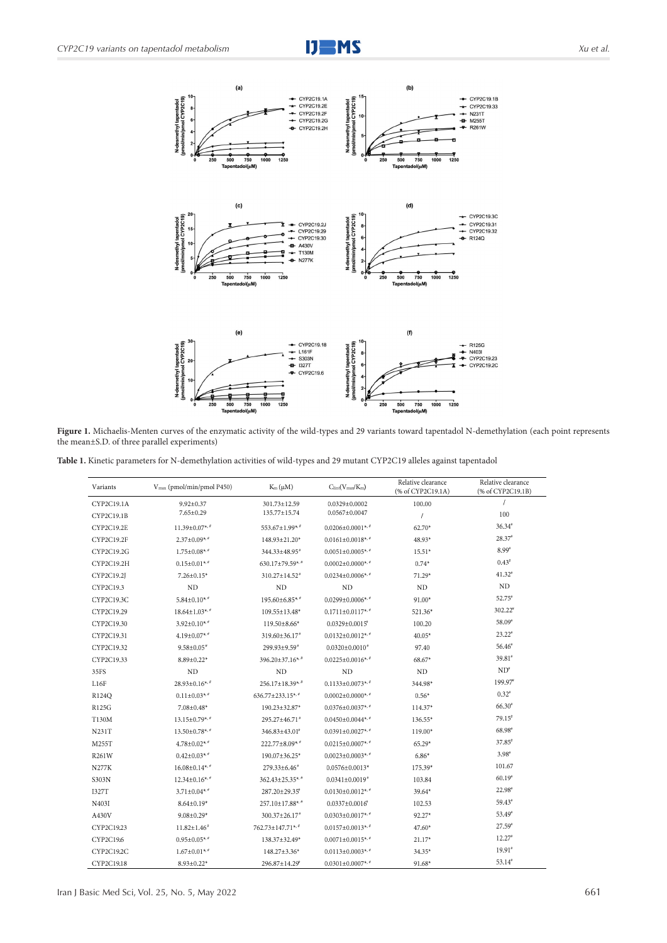



Figure 1. Michaelis-Menten curves of the enzymatic activity of the wild-types and 29 variants toward tapentadol N-demethylation (each point represents the mean±S.D. of three parallel experiments)

**Table 1.** Kinetic parameters for N-demethylation activities of wild-types and 29 mutant CYP2C19 alleles against tapentadol

| Variants          | V <sub>max</sub> (pmol/min/pmol P450) | $K_m(\mu M)$                    | $C_{\text{lint}}(V_{\text{max}}/K_m)$ | Relative clearance<br>(% of CYP2C19.1A) | Relative clearance<br>(% of CYP2C19.1B) |
|-------------------|---------------------------------------|---------------------------------|---------------------------------------|-----------------------------------------|-----------------------------------------|
| CYP2C19.1A        | $9.92 \pm 0.37$                       | 301.73±12.59                    | $0.0329 \pm 0.0002$                   | 100.00                                  | $\prime$                                |
| CYP2C19.1B        | $7.65 \pm 0.29$                       | 135.77±15.74                    | $0.0567 \pm 0.0047$                   | $\sqrt{ }$                              | 100                                     |
| <b>CYP2C19.2E</b> | 11.39±0.07**                          | 553.67±1.99*.*                  | $0.0206 \pm 0.0001$ **                | 62.70*                                  | $36.34*$                                |
| CYP2C19.2F        | $2.37 \pm 0.09$ **                    | 148.93±21.20*                   | $0.0161 \pm 0.0018$ **                | 48.93*                                  | 28.37                                   |
| CYP2C19.2G        | $1.75 \pm 0.08$ **                    | 344.33±48.95 <sup>#</sup>       | $0.0051 \pm 0.0005$ **                | $15.51*$                                | $8.99^{\circ}$                          |
| CYP2C19.2H        | $0.15 \pm 0.01$ **                    | 630.17±79.59*,*                 | $0.0002 \pm 0.0000$ **                | $0.74*$                                 | $0.43^*$                                |
| CYP2C19.2J        | $7.26 \pm 0.15*$                      | $310.27 \pm 14.52$ <sup>*</sup> | $0.0234 \pm 0.0006$ *, *              | 71.29*                                  | $41.32*$                                |
| CYP2C19.3         | ND                                    | ND                              | ND                                    | $\rm ND$                                | ND                                      |
| CYP2C19.3C        | $5.84 \pm 0.10$ **                    | $195.60\pm6.85**$               | $0.0299 \pm 0.0006$ * *               | 91.00*                                  | $52.75*$                                |
| CYP2C19.29        | $18.64 \pm 1.03$ **                   | $109.55 \pm 13.48$ *            | $0.1711 \pm 0.0117$ **                | 521.36*                                 | $302.22$ <sup>*</sup>                   |
| CYP2C19.30        | $3.92 \pm 0.10$ **                    | $119.50 \pm 8.66*$              | $0.0329 \pm 0.0015^{\circ}$           | 100.20                                  | $58.09*$                                |
| CYP2C19.31        | $4.19\pm0.07$ **                      | $319.60 \pm 36.17$ *            | $0.0132 \pm 0.0012$ **                | $40.05*$                                | $23.22*$                                |
| CYP2C19.32        | $9.58 \pm 0.05$ <sup>*</sup>          | $299.93 \pm 9.59$ <sup>*</sup>  | $0.0320 \pm 0.0010$ *                 | 97.40                                   | $56.46*$                                |
| CYP2C19.33        | $8.89 \pm 0.22$ *                     | $396.20 \pm 37.16$ * *          | $0.0225 \pm 0.0016$ **                | 68.67*                                  | $39.81*$                                |
| 35FS              | ND                                    | ND                              | ND                                    | $\rm ND$                                | $ND^*$                                  |
| L16F              | $28.93 \pm 0.16$ **                   | 256.17±18.39*,*                 | $0.1133 \pm 0.0073$ **                | 344.98*                                 | 199.97*                                 |
| R124Q             | $0.11 \pm 0.03$ **                    | 636.77±233.15**                 | $0.0002 \pm 0.0000$ **                | $0.56*$                                 | $0.32$ <sup><math>\circ</math></sup>    |
| <b>R125G</b>      | $7.08 \pm 0.48*$                      | 190.23±32.87*                   | $0.0376 \pm 0.0037$ **                | $114.37*$                               | $66.30*$                                |
| T130M             | $13.15 \pm 0.79$ **                   | 295.27±46.71*                   | $0.0450 \pm 0.0044$ *,*               | 136.55*                                 | $79.15*$                                |
| N231T             | $13.50 \pm 0.78$ **                   | $346.83 \pm 43.01^*$            | $0.0391 \pm 0.0027$ **                | 119.00*                                 | $68.98*$                                |
| M255T             | $4.78 \pm 0.02$ **                    | $222.77 \pm 8.09$ **            | $0.0215 \pm 0.0007$ **                | $65.29*$                                | $37.85*$                                |
| R261W             | $0.42 \pm 0.03$ **                    | 190.07±36.25*                   | $0.0023 \pm 0.0003$ *,*               | $6.86*$                                 | $3.98^{\circ}$                          |
| <b>N277K</b>      | $16.08 \pm 0.14$ **                   | $279.33\pm 6.46^*$              | $0.0576 \pm 0.0013*$                  | 175.39*                                 | 101.67                                  |
| S303N             | $12.34 \pm 0.16$ **                   | $362.43 \pm 25.35$ *,*          | $0.0341 \pm 0.0019$ <sup>*</sup>      | 103.84                                  | $60.19*$                                |
| <b>I327T</b>      | $3.71 \pm 0.04**$                     | $287.20 \pm 29.35^{\circ}$      | $0.0130 \pm 0.0012$ **                | 39.64*                                  | $22.98*$                                |
| N403I             | $8.64 \pm 0.19*$                      | 257.10±17.88**                  | $0.0337 \pm 0.0016^{\circ}$           | 102.53                                  | $59.43$ <sup>*</sup>                    |
| A430V             | $9.08 \pm 0.29*$                      | $300.37 \pm 26.17$ <sup>*</sup> | $0.0303 \pm 0.0017$ * "               | $92.27*$                                | $53.49*$                                |
| CYP2C19.23        | $11.82 \pm 1.46^{\circ}$              | 762.73±147.71**                 | $0.0157 \pm 0.0013$ **                | $47.60*$                                | $27.59*$                                |
| CYP2C19.6         | $0.95 \pm 0.05$ **                    | 138.37±32.49*                   | $0.0071 \pm 0.0015$ *,*               | $21.17*$                                | $12.27$ <sup>*</sup>                    |
| CYP2C19.2C        | $1.67 \pm 0.01$ <sup>*</sup>          | 148.27±3.36*                    | $0.0113 \pm 0.0003$ **                | 34.35*                                  | $19.91*$                                |
| CYP2C19.18        | 8.93±0.22*                            | 296.87±14.29 <sup>*</sup>       | $0.0301 \pm 0.0007$ *, *              | $91.68*$                                | 53.14                                   |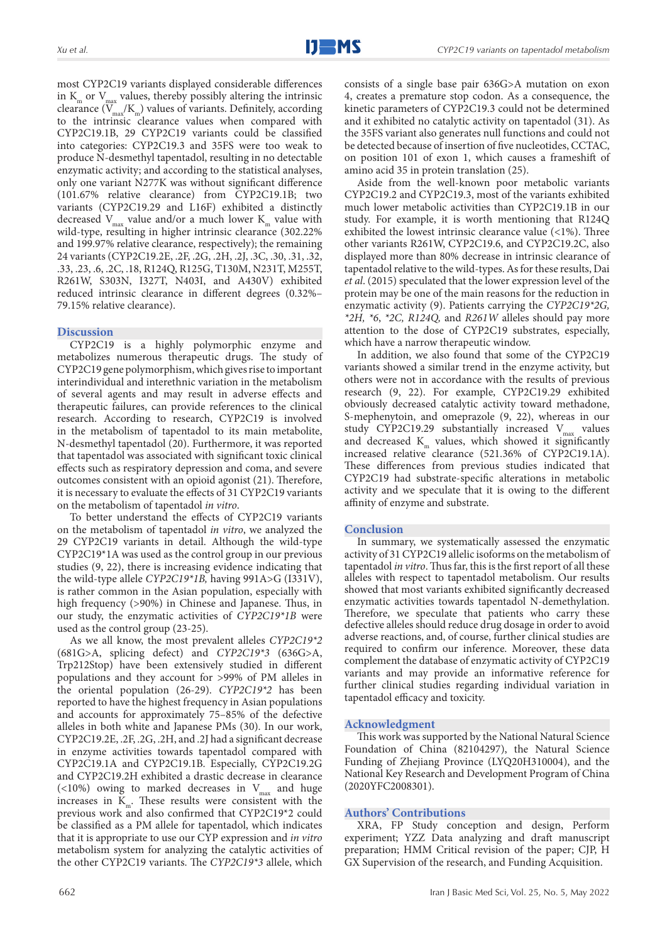most CYP2C19 variants displayed considerable differences in  $K_{m}$  or  $V_{max}$  values, thereby possibly altering the intrinsic clearance  $(\overline{V}_{\text{max}}/K_{\text{m}})$  values of variants. Definitely, according to the intrinsic clearance values when compared with CYP2C19.1B, 29 CYP2C19 variants could be classified into categories: CYP2C19.3 and 35FS were too weak to produce N-desmethyl tapentadol, resulting in no detectable enzymatic activity; and according to the statistical analyses, only one variant N277K was without significant difference (101.67% relative clearance) from CYP2C19.1B; two variants (CYP2C19.29 and L16F) exhibited a distinctly decreased  $V_{\text{max}}$  value and/or a much lower  $K_{\text{max}}$  value with wild-type, resulting in higher intrinsic clearance (302.22% and 199.97% relative clearance, respectively); the remaining 24 variants (CYP2C19.2E, .2F, .2G, .2H, .2J, .3C, .30, .31, .32, .33, .23, .6, .2C, .18, R124Q, R125G, T130M, N231T, M255T, R261W, S303N, I327T, N403I, and A430V) exhibited reduced intrinsic clearance in different degrees (0.32%– 79.15% relative clearance).

#### **Discussion**

CYP2C19 is a highly polymorphic enzyme and metabolizes numerous therapeutic drugs. The study of CYP2C19 gene polymorphism, which gives rise to important interindividual and interethnic variation in the metabolism of several agents and may result in adverse effects and therapeutic failures, can provide references to the clinical research. According to research, CYP2C19 is involved in the metabolism of tapentadol to its main metabolite, N-desmethyl tapentadol (20). Furthermore, it was reported that tapentadol was associated with significant toxic clinical effects such as respiratory depression and coma, and severe outcomes consistent with an opioid agonist (21). Therefore, it is necessary to evaluate the effects of 31 CYP2C19 variants on the metabolism of tapentadol *in vitro*.

To better understand the effects of CYP2C19 variants on the metabolism of tapentadol *in vitro*, we analyzed the 29 CYP2C19 variants in detail. Although the wild-type CYP2C19\*1A was used as the control group in our previous studies (9, 22), there is increasing evidence indicating that the wild-type allele *CYP2C19\*1B,* having 991A>G (I331V), is rather common in the Asian population, especially with high frequency (>90%) in Chinese and Japanese. Thus, in our study, the enzymatic activities of *CYP2C19\*1B* were used as the control group (23-25).

As we all know, the most prevalent alleles *CYP2C19\*2* (681G>A, splicing defect) and *CYP2C19\*3* (636G>A, Trp212Stop) have been extensively studied in different populations and they account for >99% of PM alleles in the oriental population (26-29). *CYP2C19\*2* has been reported to have the highest frequency in Asian populations and accounts for approximately 75–85% of the defective alleles in both white and Japanese PMs (30). In our work, CYP2C19.2E, .2F, .2G, .2H, and .2J had a significant decrease in enzyme activities towards tapentadol compared with CYP2C19.1A and CYP2C19.1B. Especially, CYP2C19.2G and CYP2C19.2H exhibited a drastic decrease in clearance (<10%) owing to marked decreases in  $V_{\text{max}}$  and huge increases in  $K_m$ . These results were consistent with the previous work and also confirmed that CYP2C19\*2 could be classified as a PM allele for tapentadol, which indicates that it is appropriate to use our CYP expression and *in vitro* metabolism system for analyzing the catalytic activities of the other CYP2C19 variants. The *CYP2C19\*3* allele, which

consists of a single base pair 636G>A mutation on exon 4, creates a premature stop codon. As a consequence, the kinetic parameters of CYP2C19.3 could not be determined and it exhibited no catalytic activity on tapentadol (31). As the 35FS variant also generates null functions and could not be detected because of insertion of five nucleotides, CCTAC, on position 101 of exon 1, which causes a frameshift of amino acid 35 in protein translation (25).

Aside from the well-known poor metabolic variants CYP2C19.2 and CYP2C19.3, most of the variants exhibited much lower metabolic activities than CYP2C19.1B in our study. For example, it is worth mentioning that R124Q exhibited the lowest intrinsic clearance value (<1%). Three other variants R261W, CYP2C19.6, and CYP2C19.2C, also displayed more than 80% decrease in intrinsic clearance of tapentadol relative to the wild-types. As for these results, Dai *et al*. (2015) speculated that the lower expression level of the protein may be one of the main reasons for the reduction in enzymatic activity (9). Patients carrying the *CYP2C19\*2G, \*2H, \*6*, *\*2C, R124Q,* and *R261W* alleles should pay more attention to the dose of CYP2C19 substrates, especially, which have a narrow therapeutic window.

In addition, we also found that some of the CYP2C19 variants showed a similar trend in the enzyme activity, but others were not in accordance with the results of previous research (9, 22). For example, CYP2C19.29 exhibited obviously decreased catalytic activity toward methadone, S-mephenytoin, and omeprazole (9, 22), whereas in our study CYP2C19.29 substantially increased  $V_{max}$  values and decreased  $K<sub>m</sub>$  values, which showed it significantly increased relative clearance (521.36% of CYP2C19.1A). These differences from previous studies indicated that CYP2C19 had substrate-specific alterations in metabolic activity and we speculate that it is owing to the different affinity of enzyme and substrate.

#### **Conclusion**

In summary, we systematically assessed the enzymatic activity of 31 CYP2C19 allelic isoforms on the metabolism of tapentadol *in vitro*. Thus far, this is the first report of all these alleles with respect to tapentadol metabolism. Our results showed that most variants exhibited significantly decreased enzymatic activities towards tapentadol N-demethylation. Therefore, we speculate that patients who carry these defective alleles should reduce drug dosage in order to avoid adverse reactions, and, of course, further clinical studies are required to confirm our inference. Moreover, these data complement the database of enzymatic activity of CYP2C19 variants and may provide an informative reference for further clinical studies regarding individual variation in tapentadol efficacy and toxicity.

#### **Acknowledgment**

This work was supported by the National Natural Science Foundation of China (82104297), the Natural Science Funding of Zhejiang Province (LYQ20H310004), and the National Key Research and Development Program of China (2020YFC2008301).

#### **Authors' Contributions**

XRA, FP Study conception and design, Perform experiment; YZZ Data analyzing and draft manuscript preparation; HMM Critical revision of the paper; CJP, H GX Supervision of the research, and Funding Acquisition.